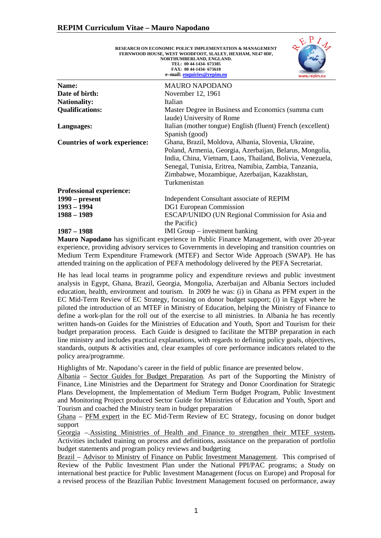|                                      | RESEARCH ON ECONOMIC POLICY IMPLEMENTATION & MANAGEMENT<br>FERNWOOD HOUSE, WEST WOODFOOT, SLALEY, HEXHAM, NE47 0DF,<br>NORTHUMBERLAND, ENGLAND.<br>TEL: 00 44-1434- 673385<br>FAX: 00 44-1434-673618<br>e-mail: enquiries@repim.eu<br>www.repim.eu |
|--------------------------------------|----------------------------------------------------------------------------------------------------------------------------------------------------------------------------------------------------------------------------------------------------|
| Name:                                | <b>MAURO NAPODANO</b>                                                                                                                                                                                                                              |
| Date of birth:                       | November 12, 1961                                                                                                                                                                                                                                  |
| <b>Nationality:</b>                  | Italian                                                                                                                                                                                                                                            |
| <b>Qualifications:</b>               | Master Degree in Business and Economics (summa cum                                                                                                                                                                                                 |
|                                      | laude) University of Rome                                                                                                                                                                                                                          |
| Languages:                           | Italian (mother tongue) English (fluent) French (excellent)                                                                                                                                                                                        |
|                                      | Spanish (good)                                                                                                                                                                                                                                     |
| <b>Countries of work experience:</b> | Ghana, Brazil, Moldova, Albania, Slovenia, Ukraine,                                                                                                                                                                                                |
|                                      | Poland, Armenia, Georgia, Azerbaijan, Belarus, Mongolia,                                                                                                                                                                                           |
|                                      | India, China, Vietnam, Laos, Thailand, Bolivia, Venezuela,                                                                                                                                                                                         |
|                                      | Senegal, Tunisia, Eritrea, Namibia, Zambia, Tanzania,                                                                                                                                                                                              |
|                                      | Zimbabwe, Mozambique, Azerbaijan, Kazakhstan,                                                                                                                                                                                                      |
|                                      | Turkmenistan                                                                                                                                                                                                                                       |
| <b>Professional experience:</b>      |                                                                                                                                                                                                                                                    |
| $1990$ – present                     | Independent Consultant associate of REPIM                                                                                                                                                                                                          |
| $1993 - 1994$                        | DG1 European Commission                                                                                                                                                                                                                            |
| $1988 - 1989$                        | ESCAP/UNIDO (UN Regional Commission for Asia and                                                                                                                                                                                                   |
|                                      | the Pacific)                                                                                                                                                                                                                                       |
| 1987 – 1988                          | IMI Group $-$ investment banking                                                                                                                                                                                                                   |

 $R_{P,1}$ 

[Mauro Napodano](http://www.repim.eu/cvs/Mauro%20Napodano%20CV.pdf) has significant experience in Public Finance Management, with over 20-year experience, providing advisory services to Governments in developing and transition countries on Medium Term Expenditure Framework (MTEF) and Sector Wide Approach (SWAP). He has attended training on the application of PEFA methodology delivered by the PEFA Secretariat.

He has lead local teams in programme policy and expenditure reviews and public investment analysis in Egypt, Ghana, Brazil, Georgia, Mongolia, Azerbaijan and Albania Sectors included education, health, environment and tourism. In 2009 he was: (i) in Ghana as PFM expert in the EC Mid-Term Review of EC Strategy, focusing on donor budget support; (i) in Egypt where he piloted the introduction of an MTEF in Ministry of Education, helping the Ministry of Finance to define a work-plan for the roll out of the exercise to all ministries. In Albania he has recently written hands-on Guides for the Ministries of Education and Youth, Sport and Tourism for their budget preparation process. Each Guide is designed to facilitate the MTBP preparation in each line ministry and includes practical explanations, with regards to defining policy goals, objectives, standards, outputs & activities and, clear examples of core performance indicators related to the policy area/programme.

Highlights of Mr. Napodano's career in the field of public finance are presented below.

Albania – Sector Guides for Budget Preparation. As part of the Supporting the Ministry of Finance, Line Ministries and the Department for Strategy and Donor Coordination for Strategic Plans Development, the Implementation of Medium Term Budget Program, Public Investment and Monitoring Project produced Sector Guide for Ministries of Education and Youth, Sport and Tourism and coached the Ministry team in budget preparation

Ghana – PFM expert in the EC Mid-Term Review of EC Strategy, focusing on donor budget support

Georgia –.Assisting Ministries of Health and Finance to strengthen their MTEF system**.**  Activities included training on process and definitions, assistance on the preparation of portfolio budget statements and program policy reviews and budgeting

Brazil – Advisor to Ministry of Finance on Public Investment Management. This comprised of Review of the Public Investment Plan under the National PPI/PAC programs; a Study on international best practice for Public Investment Management (focus on Europe) and Proposal for a revised process of the Brazilian Public Investment Management focused on performance, away